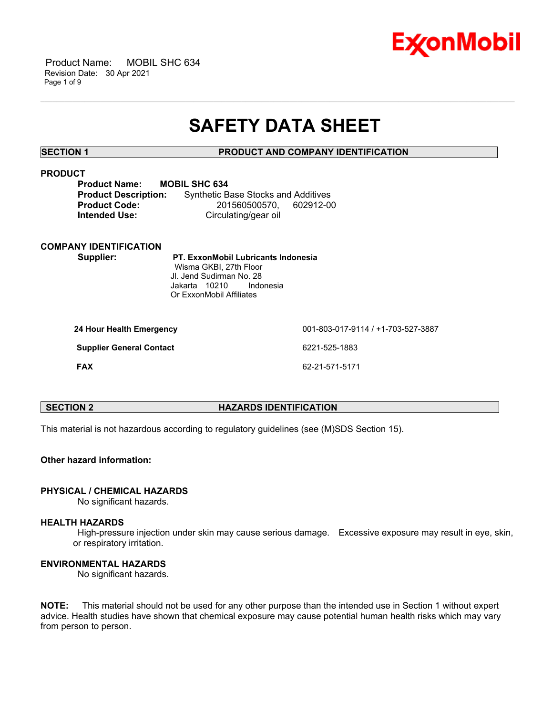

 Product Name: MOBIL SHC 634 Revision Date: 30 Apr 2021 Page 1 of 9

# **SAFETY DATA SHEET**

\_\_\_\_\_\_\_\_\_\_\_\_\_\_\_\_\_\_\_\_\_\_\_\_\_\_\_\_\_\_\_\_\_\_\_\_\_\_\_\_\_\_\_\_\_\_\_\_\_\_\_\_\_\_\_\_\_\_\_\_\_\_\_\_\_\_\_\_\_\_\_\_\_\_\_\_\_\_\_\_\_\_\_\_\_\_\_\_\_\_\_\_\_\_\_\_\_\_\_\_\_\_\_\_\_\_\_\_\_\_\_\_\_\_\_\_\_\_

# **SECTION 1 PRODUCT AND COMPANY IDENTIFICATION**

# **PRODUCT**

| <b>Product Name:</b>        | <b>MOBIL SHC 634</b>                       |           |
|-----------------------------|--------------------------------------------|-----------|
| <b>Product Description:</b> | <b>Synthetic Base Stocks and Additives</b> |           |
| <b>Product Code:</b>        | 201560500570.                              | 602912-00 |
| <b>Intended Use:</b>        | Circulating/gear oil                       |           |

#### **COMPANY IDENTIFICATION**

 **Supplier: PT. ExxonMobil Lubricants Indonesia** Wisma GKBI, 27th Floor Jl. Jend Sudirman No. 28 Jakarta 10210 Indonesia Or ExxonMobil Affiliates

| 24 Hour Health Emergency        | 001-803-017-9114 / +1-703-527-3887 |
|---------------------------------|------------------------------------|
| <b>Supplier General Contact</b> | 6221-525-1883                      |
| <b>FAX</b>                      | 62-21-571-5171                     |

| <b>SECTION 2</b> |  |
|------------------|--|
|------------------|--|

# **HAZARDS IDENTIFICATION**

This material is not hazardous according to regulatory guidelines (see (M)SDS Section 15).

# **Other hazard information:**

#### **PHYSICAL / CHEMICAL HAZARDS**

No significant hazards.

# **HEALTH HAZARDS**

 High-pressure injection under skin may cause serious damage. Excessive exposure may result in eye, skin, or respiratory irritation.

# **ENVIRONMENTAL HAZARDS**

No significant hazards.

**NOTE:** This material should not be used for any other purpose than the intended use in Section 1 without expert advice. Health studies have shown that chemical exposure may cause potential human health risks which may vary from person to person.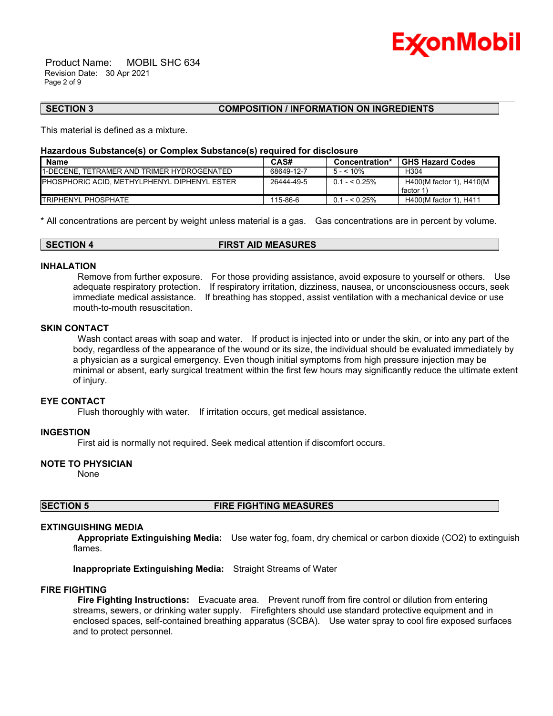

 Product Name: MOBIL SHC 634 Revision Date: 30 Apr 2021 Page 2 of 9

# **SECTION 3 COMPOSITION / INFORMATION ON INGREDIENTS**

This material is defined as a mixture.

### **Hazardous Substance(s) or Complex Substance(s) required for disclosure**

| <b>Name</b>                                          | CAS#       | Concentration* | <b>GHS Hazard Codes</b>               |
|------------------------------------------------------|------------|----------------|---------------------------------------|
| <b>I1-DECENE. TETRAMER AND TRIMER HYDROGENATED</b>   | 68649-12-7 | $5 - 10\%$     | H <sub>304</sub>                      |
| <b>IPHOSPHORIC ACID. METHYLPHENYL DIPHENYL ESTER</b> | 26444-49-5 | $0.1 - 5.25\%$ | H400(M factor 1), H410(M<br>factor 1) |
| <b>ITRIPHENYL PHOSPHATE</b>                          | 115-86-6   | $0.1 - 5.25\%$ | H400(M factor 1), H411                |

\_\_\_\_\_\_\_\_\_\_\_\_\_\_\_\_\_\_\_\_\_\_\_\_\_\_\_\_\_\_\_\_\_\_\_\_\_\_\_\_\_\_\_\_\_\_\_\_\_\_\_\_\_\_\_\_\_\_\_\_\_\_\_\_\_\_\_\_\_\_\_\_\_\_\_\_\_\_\_\_\_\_\_\_\_\_\_\_\_\_\_\_\_\_\_\_\_\_\_\_\_\_\_\_\_\_\_\_\_\_\_\_\_\_\_\_\_\_

\* All concentrations are percent by weight unless material is a gas. Gas concentrations are in percent by volume.

# **SECTION 4 FIRST AID MEASURES**

# **INHALATION**

 Remove from further exposure. For those providing assistance, avoid exposure to yourself or others. Use adequate respiratory protection. If respiratory irritation, dizziness, nausea, or unconsciousness occurs, seek immediate medical assistance. If breathing has stopped, assist ventilation with a mechanical device or use mouth-to-mouth resuscitation.

# **SKIN CONTACT**

Wash contact areas with soap and water. If product is injected into or under the skin, or into any part of the body, regardless of the appearance of the wound or its size, the individual should be evaluated immediately by a physician as a surgical emergency. Even though initial symptoms from high pressure injection may be minimal or absent, early surgical treatment within the first few hours may significantly reduce the ultimate extent of injury.

### **EYE CONTACT**

Flush thoroughly with water. If irritation occurs, get medical assistance.

# **INGESTION**

First aid is normally not required. Seek medical attention if discomfort occurs.

# **NOTE TO PHYSICIAN**

None

#### **SECTION 5 FIRE FIGHTING MEASURES**

#### **EXTINGUISHING MEDIA**

 **Appropriate Extinguishing Media:** Use water fog, foam, dry chemical or carbon dioxide (CO2) to extinguish flames.

**Inappropriate Extinguishing Media:** Straight Streams of Water

#### **FIRE FIGHTING**

 **Fire Fighting Instructions:** Evacuate area. Prevent runoff from fire control or dilution from entering streams, sewers, or drinking water supply. Firefighters should use standard protective equipment and in enclosed spaces, self-contained breathing apparatus (SCBA). Use water spray to cool fire exposed surfaces and to protect personnel.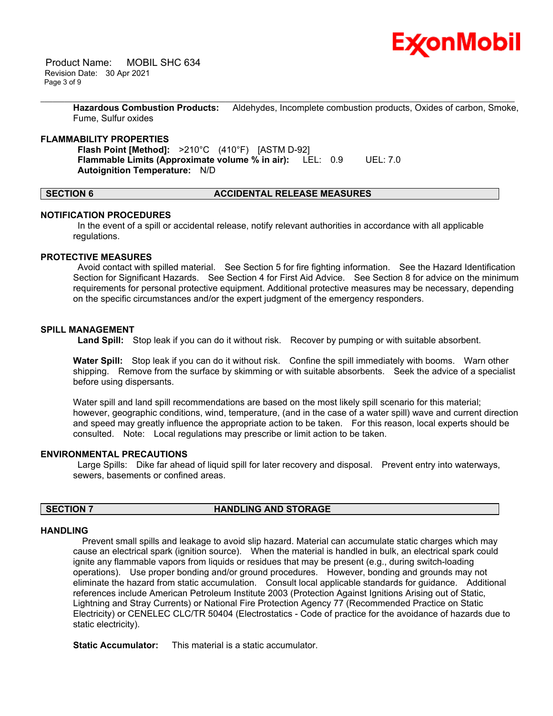

 Product Name: MOBIL SHC 634 Revision Date: 30 Apr 2021 Page 3 of 9

> **Hazardous Combustion Products:** Aldehydes, Incomplete combustion products, Oxides of carbon, Smoke, Fume, Sulfur oxides

\_\_\_\_\_\_\_\_\_\_\_\_\_\_\_\_\_\_\_\_\_\_\_\_\_\_\_\_\_\_\_\_\_\_\_\_\_\_\_\_\_\_\_\_\_\_\_\_\_\_\_\_\_\_\_\_\_\_\_\_\_\_\_\_\_\_\_\_\_\_\_\_\_\_\_\_\_\_\_\_\_\_\_\_\_\_\_\_\_\_\_\_\_\_\_\_\_\_\_\_\_\_\_\_\_\_\_\_\_\_\_\_\_\_\_\_\_\_

# **FLAMMABILITY PROPERTIES**

 **Flash Point [Method]:** >210°C (410°F) [ASTM D-92]  **Flammable Limits (Approximate volume % in air):** LEL: 0.9 UEL: 7.0  **Autoignition Temperature:** N/D

# **SECTION 6 ACCIDENTAL RELEASE MEASURES**

#### **NOTIFICATION PROCEDURES**

 In the event of a spill or accidental release, notify relevant authorities in accordance with all applicable regulations.

#### **PROTECTIVE MEASURES**

 Avoid contact with spilled material. See Section 5 for fire fighting information. See the Hazard Identification Section for Significant Hazards. See Section 4 for First Aid Advice. See Section 8 for advice on the minimum requirements for personal protective equipment. Additional protective measures may be necessary, depending on the specific circumstances and/or the expert judgment of the emergency responders.

#### **SPILL MANAGEMENT**

 **Land Spill:** Stop leak if you can do it without risk. Recover by pumping or with suitable absorbent.

**Water Spill:** Stop leak if you can do it without risk. Confine the spill immediately with booms. Warn other shipping. Remove from the surface by skimming or with suitable absorbents. Seek the advice of a specialist before using dispersants.

Water spill and land spill recommendations are based on the most likely spill scenario for this material; however, geographic conditions, wind, temperature, (and in the case of a water spill) wave and current direction and speed may greatly influence the appropriate action to be taken. For this reason, local experts should be consulted. Note: Local regulations may prescribe or limit action to be taken.

# **ENVIRONMENTAL PRECAUTIONS**

 Large Spills: Dike far ahead of liquid spill for later recovery and disposal. Prevent entry into waterways, sewers, basements or confined areas.

# **SECTION 7 HANDLING AND STORAGE**

#### **HANDLING**

 Prevent small spills and leakage to avoid slip hazard. Material can accumulate static charges which may cause an electrical spark (ignition source). When the material is handled in bulk, an electrical spark could ignite any flammable vapors from liquids or residues that may be present (e.g., during switch-loading operations). Use proper bonding and/or ground procedures. However, bonding and grounds may not eliminate the hazard from static accumulation. Consult local applicable standards for guidance. Additional references include American Petroleum Institute 2003 (Protection Against Ignitions Arising out of Static, Lightning and Stray Currents) or National Fire Protection Agency 77 (Recommended Practice on Static Electricity) or CENELEC CLC/TR 50404 (Electrostatics - Code of practice for the avoidance of hazards due to static electricity).

**Static Accumulator:** This material is a static accumulator.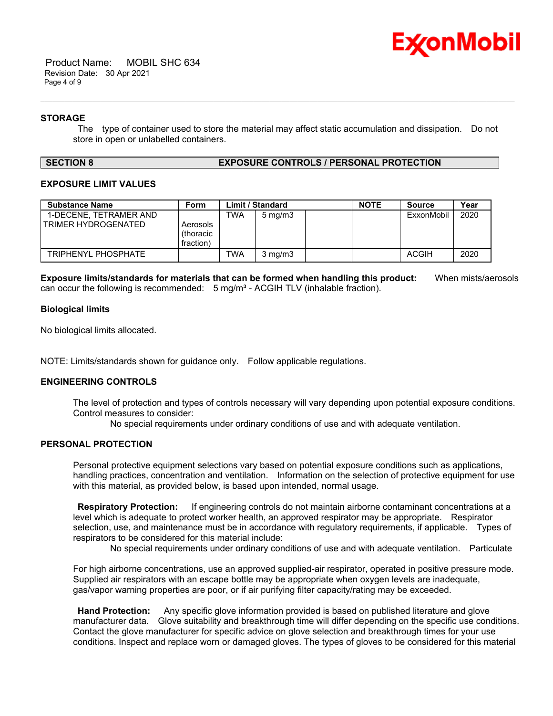

 Product Name: MOBIL SHC 634 Revision Date: 30 Apr 2021 Page 4 of 9

# **STORAGE**

 The type of container used to store the material may affect static accumulation and dissipation. Do not store in open or unlabelled containers.

\_\_\_\_\_\_\_\_\_\_\_\_\_\_\_\_\_\_\_\_\_\_\_\_\_\_\_\_\_\_\_\_\_\_\_\_\_\_\_\_\_\_\_\_\_\_\_\_\_\_\_\_\_\_\_\_\_\_\_\_\_\_\_\_\_\_\_\_\_\_\_\_\_\_\_\_\_\_\_\_\_\_\_\_\_\_\_\_\_\_\_\_\_\_\_\_\_\_\_\_\_\_\_\_\_\_\_\_\_\_\_\_\_\_\_\_\_\_

### **SECTION 8 EXPOSURE CONTROLS / PERSONAL PROTECTION**

# **EXPOSURE LIMIT VALUES**

| <b>Substance Name</b>                         | Form                               | Limit / Standard |                  | <b>NOTE</b> | <b>Source</b> | Year         |      |
|-----------------------------------------------|------------------------------------|------------------|------------------|-------------|---------------|--------------|------|
| 1-DECENE, TETRAMER AND<br>TRIMER HYDROGENATED | Aerosols<br>(thoracic<br>fraction) | TWA              | $5 \text{ mg/m}$ |             |               | ExxonMobil   | 2020 |
| TRIPHENYL PHOSPHATE                           |                                    | TWA              | $3 \text{ mg/m}$ |             |               | <b>ACGIH</b> | 2020 |

**Exposure limits/standards for materials that can be formed when handling this product:** When mists/aerosols can occur the following is recommended:  $5 \text{ mg/m}^3$  - ACGIH TLV (inhalable fraction).

# **Biological limits**

No biological limits allocated.

NOTE: Limits/standards shown for guidance only. Follow applicable regulations.

# **ENGINEERING CONTROLS**

The level of protection and types of controls necessary will vary depending upon potential exposure conditions. Control measures to consider:

No special requirements under ordinary conditions of use and with adequate ventilation.

### **PERSONAL PROTECTION**

Personal protective equipment selections vary based on potential exposure conditions such as applications, handling practices, concentration and ventilation. Information on the selection of protective equipment for use with this material, as provided below, is based upon intended, normal usage.

 **Respiratory Protection:** If engineering controls do not maintain airborne contaminant concentrations at a level which is adequate to protect worker health, an approved respirator may be appropriate. Respirator selection, use, and maintenance must be in accordance with regulatory requirements, if applicable. Types of respirators to be considered for this material include:

No special requirements under ordinary conditions of use and with adequate ventilation. Particulate

For high airborne concentrations, use an approved supplied-air respirator, operated in positive pressure mode. Supplied air respirators with an escape bottle may be appropriate when oxygen levels are inadequate, gas/vapor warning properties are poor, or if air purifying filter capacity/rating may be exceeded.

 **Hand Protection:** Any specific glove information provided is based on published literature and glove manufacturer data. Glove suitability and breakthrough time will differ depending on the specific use conditions. Contact the glove manufacturer for specific advice on glove selection and breakthrough times for your use conditions. Inspect and replace worn or damaged gloves. The types of gloves to be considered for this material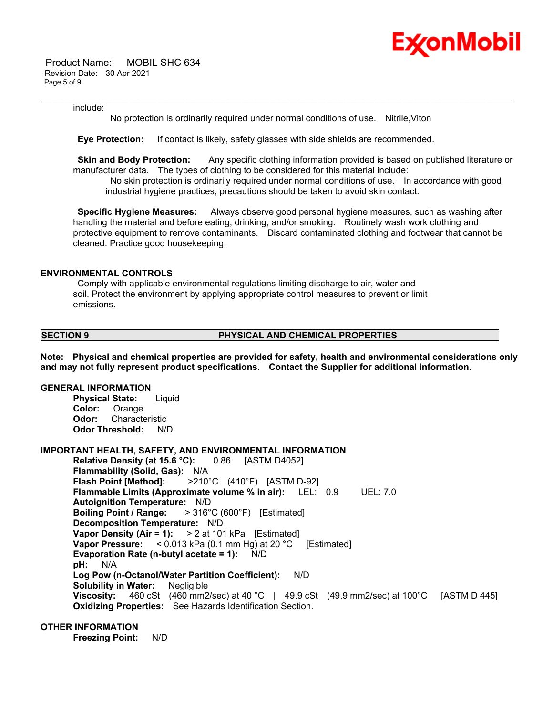

 Product Name: MOBIL SHC 634 Revision Date: 30 Apr 2021 Page 5 of 9

#### include:

No protection is ordinarily required under normal conditions of use. Nitrile,Viton

\_\_\_\_\_\_\_\_\_\_\_\_\_\_\_\_\_\_\_\_\_\_\_\_\_\_\_\_\_\_\_\_\_\_\_\_\_\_\_\_\_\_\_\_\_\_\_\_\_\_\_\_\_\_\_\_\_\_\_\_\_\_\_\_\_\_\_\_\_\_\_\_\_\_\_\_\_\_\_\_\_\_\_\_\_\_\_\_\_\_\_\_\_\_\_\_\_\_\_\_\_\_\_\_\_\_\_\_\_\_\_\_\_\_\_\_\_\_

 **Eye Protection:** If contact is likely, safety glasses with side shields are recommended.

**Skin and Body Protection:** Any specific clothing information provided is based on published literature or manufacturer data. The types of clothing to be considered for this material include:

 No skin protection is ordinarily required under normal conditions of use. In accordance with good industrial hygiene practices, precautions should be taken to avoid skin contact.

 **Specific Hygiene Measures:** Always observe good personal hygiene measures, such as washing after handling the material and before eating, drinking, and/or smoking. Routinely wash work clothing and protective equipment to remove contaminants. Discard contaminated clothing and footwear that cannot be cleaned. Practice good housekeeping.

# **ENVIRONMENTAL CONTROLS**

 Comply with applicable environmental regulations limiting discharge to air, water and soil. Protect the environment by applying appropriate control measures to prevent or limit emissions.

### **SECTION 9 PHYSICAL AND CHEMICAL PROPERTIES**

**Note: Physical and chemical properties are provided for safety, health and environmental considerations only and may not fully represent product specifications. Contact the Supplier for additional information.**

# **GENERAL INFORMATION**

**Physical State:** Liquid **Color:** Orange **Odor:** Characteristic **Odor Threshold:** N/D

#### **IMPORTANT HEALTH, SAFETY, AND ENVIRONMENTAL INFORMATION**

**Relative Density (at 15.6 °C):** 0.86 [ASTM D4052] **Flammability (Solid, Gas):** N/A **Flash Point [Method]:** >210°C (410°F) [ASTM D-92] **Flammable Limits (Approximate volume % in air):** LEL: 0.9 UEL: 7.0 **Autoignition Temperature:** N/D **Boiling Point / Range:** > 316°C (600°F) [Estimated] **Decomposition Temperature:** N/D **Vapor Density (Air = 1):** > 2 at 101 kPa [Estimated] **Vapor Pressure:** < 0.013 kPa (0.1 mm Hg) at 20 °C [Estimated] **Evaporation Rate (n-butyl acetate = 1):** N/D **pH:** N/A **Log Pow (n-Octanol/Water Partition Coefficient):** N/D **Solubility in Water:** Negligible **Viscosity:** 460 cSt (460 mm2/sec) at 40 °C | 49.9 cSt (49.9 mm2/sec) at 100 °C [ASTM D 445] **Oxidizing Properties:** See Hazards Identification Section.

# **OTHER INFORMATION**

**Freezing Point:** N/D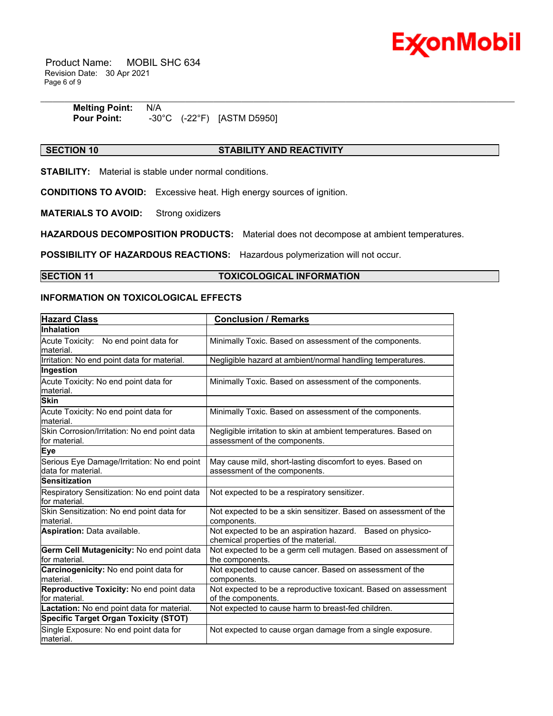

 Product Name: MOBIL SHC 634 Revision Date: 30 Apr 2021 Page 6 of 9

| <b>Melting Point: N/A</b> |  |                                               |
|---------------------------|--|-----------------------------------------------|
| <b>Pour Point:</b>        |  | $-30^{\circ}$ C $(-22^{\circ}F)$ [ASTM D5950] |

# **SECTION 10 STABILITY AND REACTIVITY**

\_\_\_\_\_\_\_\_\_\_\_\_\_\_\_\_\_\_\_\_\_\_\_\_\_\_\_\_\_\_\_\_\_\_\_\_\_\_\_\_\_\_\_\_\_\_\_\_\_\_\_\_\_\_\_\_\_\_\_\_\_\_\_\_\_\_\_\_\_\_\_\_\_\_\_\_\_\_\_\_\_\_\_\_\_\_\_\_\_\_\_\_\_\_\_\_\_\_\_\_\_\_\_\_\_\_\_\_\_\_\_\_\_\_\_\_\_\_

**STABILITY:** Material is stable under normal conditions.

**CONDITIONS TO AVOID:** Excessive heat. High energy sources of ignition.

**MATERIALS TO AVOID:** Strong oxidizers

**HAZARDOUS DECOMPOSITION PRODUCTS:** Material does not decompose at ambient temperatures.

**POSSIBILITY OF HAZARDOUS REACTIONS:** Hazardous polymerization will not occur.

# **SECTION 11 TOXICOLOGICAL INFORMATION**

# **INFORMATION ON TOXICOLOGICAL EFFECTS**

| <b>Hazard Class</b>                                               | <b>Conclusion / Remarks</b>                                                                        |
|-------------------------------------------------------------------|----------------------------------------------------------------------------------------------------|
| Inhalation                                                        |                                                                                                    |
| Acute Toxicity: No end point data for<br>material.                | Minimally Toxic. Based on assessment of the components.                                            |
| Irritation: No end point data for material.                       | Negligible hazard at ambient/normal handling temperatures.                                         |
| Ingestion                                                         |                                                                                                    |
| Acute Toxicity: No end point data for<br>material.                | Minimally Toxic. Based on assessment of the components.                                            |
| <b>Skin</b>                                                       |                                                                                                    |
| Acute Toxicity: No end point data for<br>material.                | Minimally Toxic. Based on assessment of the components.                                            |
| Skin Corrosion/Irritation: No end point data<br>for material.     | Negligible irritation to skin at ambient temperatures. Based on<br>assessment of the components.   |
| <b>Eye</b>                                                        |                                                                                                    |
| Serious Eye Damage/Irritation: No end point<br>data for material. | May cause mild, short-lasting discomfort to eyes. Based on<br>assessment of the components.        |
| <b>Sensitization</b>                                              |                                                                                                    |
| Respiratory Sensitization: No end point data<br>for material.     | Not expected to be a respiratory sensitizer.                                                       |
| Skin Sensitization: No end point data for<br>material.            | Not expected to be a skin sensitizer. Based on assessment of the<br>components.                    |
| Aspiration: Data available.                                       | Not expected to be an aspiration hazard. Based on physico-<br>chemical properties of the material. |
| Germ Cell Mutagenicity: No end point data<br>for material.        | Not expected to be a germ cell mutagen. Based on assessment of<br>the components.                  |
| Carcinogenicity: No end point data for<br>material.               | Not expected to cause cancer. Based on assessment of the<br>components.                            |
| Reproductive Toxicity: No end point data<br>for material.         | Not expected to be a reproductive toxicant. Based on assessment<br>of the components.              |
| Lactation: No end point data for material.                        | Not expected to cause harm to breast-fed children.                                                 |
| <b>Specific Target Organ Toxicity (STOT)</b>                      |                                                                                                    |
| Single Exposure: No end point data for<br>material.               | Not expected to cause organ damage from a single exposure.                                         |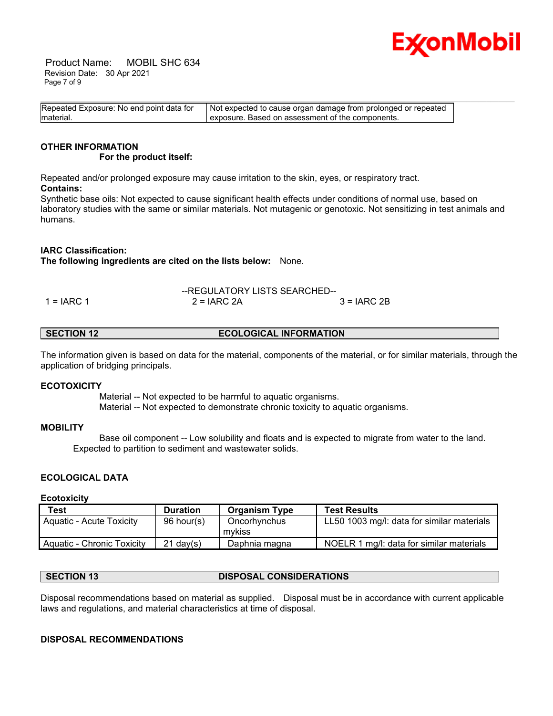

 Product Name: MOBIL SHC 634 Revision Date: 30 Apr 2021 Page 7 of 9

| Repeated Exposure: No end point data for | Not expected to cause organ damage from prolonged or repeated |  |
|------------------------------------------|---------------------------------------------------------------|--|
| material.                                | exposure. Based on assessment of the components.              |  |

#### **OTHER INFORMATION For the product itself:**

Repeated and/or prolonged exposure may cause irritation to the skin, eyes, or respiratory tract. **Contains:**

Synthetic base oils: Not expected to cause significant health effects under conditions of normal use, based on laboratory studies with the same or similar materials. Not mutagenic or genotoxic. Not sensitizing in test animals and humans.

# **IARC Classification:**

**The following ingredients are cited on the lists below:** None.

--REGULATORY LISTS SEARCHED-- 1 = IARC 1 2 = IARC 2A 3 = IARC 2B

**SECTION 12 ECOLOGICAL INFORMATION** 

The information given is based on data for the material, components of the material, or for similar materials, through the application of bridging principals.

# **ECOTOXICITY**

 Material -- Not expected to be harmful to aquatic organisms. Material -- Not expected to demonstrate chronic toxicity to aquatic organisms.

# **MOBILITY**

 Base oil component -- Low solubility and floats and is expected to migrate from water to the land. Expected to partition to sediment and wastewater solids.

# **ECOLOGICAL DATA**

#### **Ecotoxicity**

| Test                       | <b>Duration</b> | <b>Organism Type</b>   | <b>Test Results</b>                        |
|----------------------------|-----------------|------------------------|--------------------------------------------|
| Aquatic - Acute Toxicity   | 96 hour(s)      | Oncorhynchus<br>mvkiss | LL50 1003 mg/l: data for similar materials |
| Aquatic - Chronic Toxicity | $21$ dav(s)     | Daphnia magna          | NOELR 1 mg/l: data for similar materials   |

# **SECTION 13 DISPOSAL CONSIDERATIONS**

Disposal recommendations based on material as supplied. Disposal must be in accordance with current applicable laws and regulations, and material characteristics at time of disposal.

# **DISPOSAL RECOMMENDATIONS**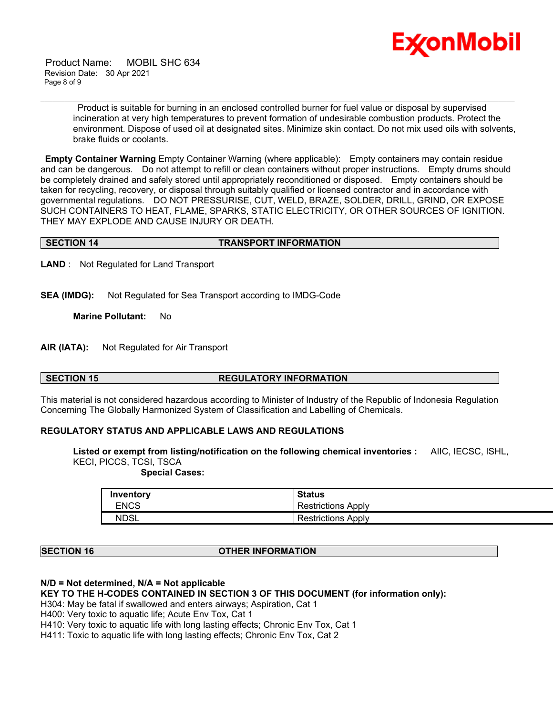

 Product Name: MOBIL SHC 634 Revision Date: 30 Apr 2021 Page 8 of 9

> Product is suitable for burning in an enclosed controlled burner for fuel value or disposal by supervised incineration at very high temperatures to prevent formation of undesirable combustion products. Protect the environment. Dispose of used oil at designated sites. Minimize skin contact. Do not mix used oils with solvents, brake fluids or coolants.

**Empty Container Warning** Empty Container Warning (where applicable): Empty containers may contain residue and can be dangerous. Do not attempt to refill or clean containers without proper instructions. Empty drums should be completely drained and safely stored until appropriately reconditioned or disposed. Empty containers should be taken for recycling, recovery, or disposal through suitably qualified or licensed contractor and in accordance with governmental regulations. DO NOT PRESSURISE, CUT, WELD, BRAZE, SOLDER, DRILL, GRIND, OR EXPOSE SUCH CONTAINERS TO HEAT, FLAME, SPARKS, STATIC ELECTRICITY, OR OTHER SOURCES OF IGNITION. THEY MAY EXPLODE AND CAUSE INJURY OR DEATH.

\_\_\_\_\_\_\_\_\_\_\_\_\_\_\_\_\_\_\_\_\_\_\_\_\_\_\_\_\_\_\_\_\_\_\_\_\_\_\_\_\_\_\_\_\_\_\_\_\_\_\_\_\_\_\_\_\_\_\_\_\_\_\_\_\_\_\_\_\_\_\_\_\_\_\_\_\_\_\_\_\_\_\_\_\_\_\_\_\_\_\_\_\_\_\_\_\_\_\_\_\_\_\_\_\_\_\_\_\_\_\_\_\_\_\_\_\_\_

# **SECTION 14 TRANSPORT INFORMATION**

**LAND** : Not Regulated for Land Transport

**SEA (IMDG):** Not Regulated for Sea Transport according to IMDG-Code

**Marine Pollutant:** No

**AIR (IATA):** Not Regulated for Air Transport

# **SECTION 15 REGULATORY INFORMATION**

This material is not considered hazardous according to Minister of Industry of the Republic of Indonesia Regulation Concerning The Globally Harmonized System of Classification and Labelling of Chemicals.

#### **REGULATORY STATUS AND APPLICABLE LAWS AND REGULATIONS**

**Listed or exempt from listing/notification on the following chemical inventories :** AIIC, IECSC, ISHL, KECI, PICCS, TCSI, TSCA

 **Special Cases:**

| Inventory   | <b>Status</b>                        |
|-------------|--------------------------------------|
| <b>ENCS</b> | Restrictions.<br>Apply               |
| <b>NDSL</b> | Apply<br>Restrictions $\overline{ }$ |

# **SECTION 16 OTHER INFORMATION**

### **N/D = Not determined, N/A = Not applicable**

**KEY TO THE H-CODES CONTAINED IN SECTION 3 OF THIS DOCUMENT (for information only):**

H304: May be fatal if swallowed and enters airways; Aspiration, Cat 1

H400: Very toxic to aquatic life; Acute Env Tox, Cat 1

H410: Very toxic to aquatic life with long lasting effects; Chronic Env Tox, Cat 1

H411: Toxic to aquatic life with long lasting effects; Chronic Env Tox, Cat 2